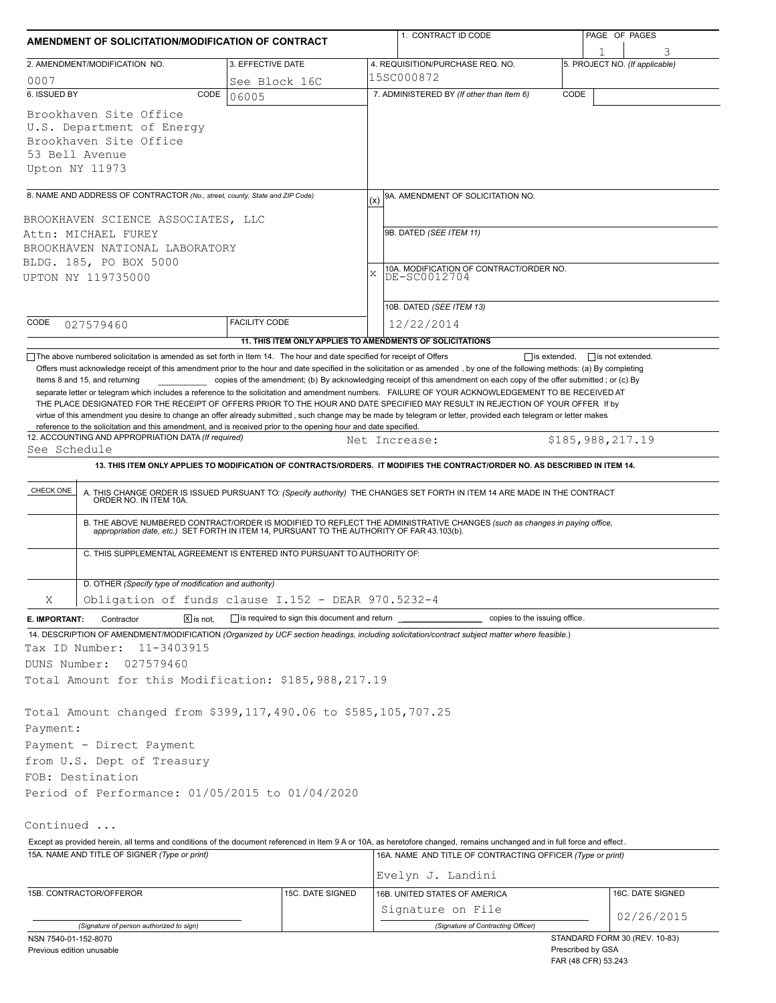| AMENDMENT OF SOLICITATION/MODIFICATION OF CONTRACT                                                                                                                                     |                        |                                              | 1. CONTRACT ID CODE                                                                                                                                                                                                                                                                                                                                                                                                                                                                                                                                                                                       | PAGE OF PAGES                       |
|----------------------------------------------------------------------------------------------------------------------------------------------------------------------------------------|------------------------|----------------------------------------------|-----------------------------------------------------------------------------------------------------------------------------------------------------------------------------------------------------------------------------------------------------------------------------------------------------------------------------------------------------------------------------------------------------------------------------------------------------------------------------------------------------------------------------------------------------------------------------------------------------------|-------------------------------------|
| 2. AMENDMENT/MODIFICATION NO.                                                                                                                                                          | 3. EFFECTIVE DATE      |                                              | 4. REQUISITION/PURCHASE REQ. NO.                                                                                                                                                                                                                                                                                                                                                                                                                                                                                                                                                                          | 3<br>5. PROJECT NO. (If applicable) |
| 0007                                                                                                                                                                                   |                        | See Block 16C                                | 15SC000872                                                                                                                                                                                                                                                                                                                                                                                                                                                                                                                                                                                                |                                     |
| 6. ISSUED BY                                                                                                                                                                           | CODE<br>06005          |                                              | 7. ADMINISTERED BY (If other than Item 6)                                                                                                                                                                                                                                                                                                                                                                                                                                                                                                                                                                 | CODE                                |
| Brookhaven Site Office<br>U.S. Department of Energy<br>Brookhaven Site Office<br>53 Bell Avenue<br>Upton NY 11973                                                                      |                        |                                              |                                                                                                                                                                                                                                                                                                                                                                                                                                                                                                                                                                                                           |                                     |
| 8. NAME AND ADDRESS OF CONTRACTOR (No., street, county, State and ZIP Code)                                                                                                            |                        |                                              | 9A. AMENDMENT OF SOLICITATION NO.                                                                                                                                                                                                                                                                                                                                                                                                                                                                                                                                                                         |                                     |
|                                                                                                                                                                                        |                        |                                              | (x)                                                                                                                                                                                                                                                                                                                                                                                                                                                                                                                                                                                                       |                                     |
| BROOKHAVEN SCIENCE ASSOCIATES, LLC<br>Attn: MICHAEL FUREY<br>BROOKHAVEN NATIONAL LABORATORY<br>BLDG. 185, PO BOX 5000<br>UPTON NY 119735000                                            |                        |                                              | 9B. DATED (SEE ITEM 11)<br>10A. MODIFICATION OF CONTRACT/ORDER NO.<br>X<br>DE-SC0012704                                                                                                                                                                                                                                                                                                                                                                                                                                                                                                                   |                                     |
|                                                                                                                                                                                        |                        |                                              | 10B. DATED (SEE ITEM 13)                                                                                                                                                                                                                                                                                                                                                                                                                                                                                                                                                                                  |                                     |
| CODE<br>027579460                                                                                                                                                                      | <b>FACILITY CODE</b>   |                                              | 12/22/2014                                                                                                                                                                                                                                                                                                                                                                                                                                                                                                                                                                                                |                                     |
|                                                                                                                                                                                        |                        |                                              | 11. THIS ITEM ONLY APPLIES TO AMENDMENTS OF SOLICITATIONS                                                                                                                                                                                                                                                                                                                                                                                                                                                                                                                                                 |                                     |
| reference to the solicitation and this amendment, and is received prior to the opening hour and date specified.<br>12. ACCOUNTING AND APPROPRIATION DATA (If required)<br>See Schedule |                        |                                              | separate letter or telegram which includes a reference to the solicitation and amendment numbers. FAILURE OF YOUR ACKNOWLEDGEMENT TO BE RECEIVED AT<br>THE PLACE DESIGNATED FOR THE RECEIPT OF OFFERS PRIOR TO THE HOUR AND DATE SPECIFIED MAY RESULT IN REJECTION OF YOUR OFFER If by<br>virtue of this amendment you desire to change an offer already submitted, such change may be made by telegram or letter, provided each telegram or letter makes<br>Net Increase:<br>13. THIS ITEM ONLY APPLIES TO MODIFICATION OF CONTRACTS/ORDERS. IT MODIFIES THE CONTRACT/ORDER NO. AS DESCRIBED IN ITEM 14. | \$185,988,217.19                    |
|                                                                                                                                                                                        |                        |                                              |                                                                                                                                                                                                                                                                                                                                                                                                                                                                                                                                                                                                           |                                     |
| CHECK ONE                                                                                                                                                                              |                        |                                              | A. THIS CHANGE ORDER IS ISSUED PURSUANT TO: (Specify authority) THE CHANGES SET FORTH IN ITEM 14 ARE MADE IN THE CONTRACT ORDER NO. IN ITEM 10A.                                                                                                                                                                                                                                                                                                                                                                                                                                                          |                                     |
|                                                                                                                                                                                        |                        |                                              | B. THE ABOVE NUMBERED CONTRACT/ORDER IS MODIFIED TO REFLECT THE ADMINISTRATIVE CHANGES (such as changes in paying office, appropriation date, etc.) SET FORTH IN ITEM 14, PURSUANT TO THE AUTHORITY OF FAR 43.103(b).                                                                                                                                                                                                                                                                                                                                                                                     |                                     |
| C. THIS SUPPLEMENTAL AGREEMENT IS ENTERED INTO PURSUANT TO AUTHORITY OF:                                                                                                               |                        |                                              |                                                                                                                                                                                                                                                                                                                                                                                                                                                                                                                                                                                                           |                                     |
| D. OTHER (Specify type of modification and authority)                                                                                                                                  |                        |                                              |                                                                                                                                                                                                                                                                                                                                                                                                                                                                                                                                                                                                           |                                     |
| Obligation of funds clause I.152 - DEAR 970.5232-4<br>Χ                                                                                                                                |                        |                                              |                                                                                                                                                                                                                                                                                                                                                                                                                                                                                                                                                                                                           |                                     |
| Contractor<br>E. IMPORTANT:                                                                                                                                                            | $\overline{X}$ is not. | is required to sign this document and return | copies to the issuing office.                                                                                                                                                                                                                                                                                                                                                                                                                                                                                                                                                                             |                                     |
| 11-3403915<br>Tax ID Number:                                                                                                                                                           |                        |                                              | 14. DESCRIPTION OF AMENDMENT/MODIFICATION (Organized by UCF section headings, including solicitation/contract subject matter where feasible.)                                                                                                                                                                                                                                                                                                                                                                                                                                                             |                                     |
| DUNS Number:<br>027579460                                                                                                                                                              |                        |                                              |                                                                                                                                                                                                                                                                                                                                                                                                                                                                                                                                                                                                           |                                     |
| Total Amount for this Modification: \$185,988,217.19                                                                                                                                   |                        |                                              |                                                                                                                                                                                                                                                                                                                                                                                                                                                                                                                                                                                                           |                                     |
| Total Amount changed from \$399,117,490.06 to \$585,105,707.25<br>Payment:<br>Payment - Direct Payment                                                                                 |                        |                                              |                                                                                                                                                                                                                                                                                                                                                                                                                                                                                                                                                                                                           |                                     |
| from U.S. Dept of Treasury                                                                                                                                                             |                        |                                              |                                                                                                                                                                                                                                                                                                                                                                                                                                                                                                                                                                                                           |                                     |
| FOB: Destination<br>Period of Performance: 01/05/2015 to 01/04/2020                                                                                                                    |                        |                                              |                                                                                                                                                                                                                                                                                                                                                                                                                                                                                                                                                                                                           |                                     |
|                                                                                                                                                                                        |                        |                                              |                                                                                                                                                                                                                                                                                                                                                                                                                                                                                                                                                                                                           |                                     |
| Continued                                                                                                                                                                              |                        |                                              |                                                                                                                                                                                                                                                                                                                                                                                                                                                                                                                                                                                                           |                                     |
|                                                                                                                                                                                        |                        |                                              | Except as provided herein, all terms and conditions of the document referenced in Item 9 A or 10A, as heretofore changed, remains unchanged and in full force and effect.                                                                                                                                                                                                                                                                                                                                                                                                                                 |                                     |
| 15A. NAME AND TITLE OF SIGNER (Type or print)                                                                                                                                          |                        |                                              | 16A. NAME AND TITLE OF CONTRACTING OFFICER (Type or print)                                                                                                                                                                                                                                                                                                                                                                                                                                                                                                                                                |                                     |
|                                                                                                                                                                                        |                        |                                              | Evelyn J. Landini                                                                                                                                                                                                                                                                                                                                                                                                                                                                                                                                                                                         |                                     |
| 15B. CONTRACTOR/OFFEROR                                                                                                                                                                |                        | 15C. DATE SIGNED                             | 16B. UNITED STATES OF AMERICA                                                                                                                                                                                                                                                                                                                                                                                                                                                                                                                                                                             | 16C. DATE SIGNED                    |
|                                                                                                                                                                                        |                        |                                              | Signature on File                                                                                                                                                                                                                                                                                                                                                                                                                                                                                                                                                                                         | 02/26/2015                          |
| (Signature of person authorized to sign)                                                                                                                                               |                        |                                              | (Signature of Contracting Officer)                                                                                                                                                                                                                                                                                                                                                                                                                                                                                                                                                                        | STANDARD FORM 30 (REV. 10-83)       |
| NSN 7540-01-152-8070                                                                                                                                                                   |                        |                                              |                                                                                                                                                                                                                                                                                                                                                                                                                                                                                                                                                                                                           |                                     |

FAR (48 CFR) 53.243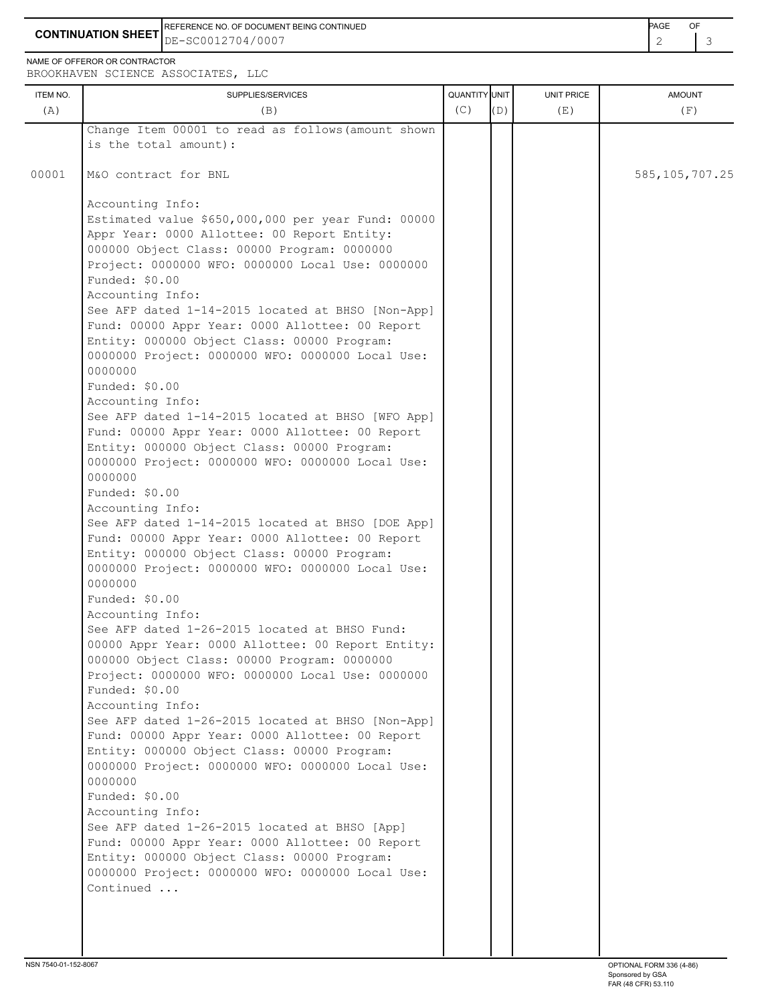**CONTINUATION SHEET**  $\left| \text{DE}-\text{SC0012704/0007} \right|$  2  $\left| \text{3} \right|$ REFERENCE NO. OF DOCUMENT BEING CONTINUED **AGE OF A SECOND ACTION OF A SECOND-** PAGE OF DE-SC0012704/0007

NAME OF OFFEROR OR CONTRACTOR

ITEM NO. ┃ SUPPLIES/SERVICES UNIT PRICE AMOUNT BROOKHAVEN SCIENCE ASSOCIATES, LLC (A)  $(B)$  (B)  $(C)$   $(D)$  (E)  $(E)$  (F) Change Item 00001 to read as follows(amount shown is the total amount): 00001 | M&O contract for BNL 585,105,707.25 Accounting Info: Estimated value \$650,000,000 per year Fund: 00000 Appr Year: 0000 Allottee: 00 Report Entity: 000000 Object Class: 00000 Program: 0000000 Project: 0000000 WFO: 0000000 Local Use: 0000000 Funded: \$0.00 Accounting Info: See AFP dated 1-14-2015 located at BHSO [Non-App] Fund: 00000 Appr Year: 0000 Allottee: 00 Report Entity: 000000 Object Class: 00000 Program: 0000000 Project: 0000000 WFO: 0000000 Local Use: 0000000 Funded: \$0.00 Accounting Info: See AFP dated 1-14-2015 located at BHSO [WFO App] Fund: 00000 Appr Year: 0000 Allottee: 00 Report Entity: 000000 Object Class: 00000 Program: 0000000 Project: 0000000 WFO: 0000000 Local Use: 0000000 Funded: \$0.00 Accounting Info: See AFP dated 1-14-2015 located at BHSO [DOE App] Fund: 00000 Appr Year: 0000 Allottee: 00 Report Entity: 000000 Object Class: 00000 Program: 0000000 Project: 0000000 WFO: 0000000 Local Use: 0000000 Funded: \$0.00 Accounting Info: See AFP dated 1-26-2015 located at BHSO Fund: 00000 Appr Year: 0000 Allottee: 00 Report Entity: 000000 Object Class: 00000 Program: 0000000 Project: 0000000 WFO: 0000000 Local Use: 0000000 Funded: \$0.00 Accounting Info: See AFP dated 1-26-2015 located at BHSO [Non-App] Fund: 00000 Appr Year: 0000 Allottee: 00 Report Entity: 000000 Object Class: 00000 Program: 0000000 Project: 0000000 WFO: 0000000 Local Use: 0000000 Funded: \$0.00 Accounting Info: See AFP dated 1-26-2015 located at BHSO [App] Fund: 00000 Appr Year: 0000 Allottee: 00 Report Entity: 000000 Object Class: 00000 Program: 0000000 Project: 0000000 WFO: 0000000 Local Use: Continued ...